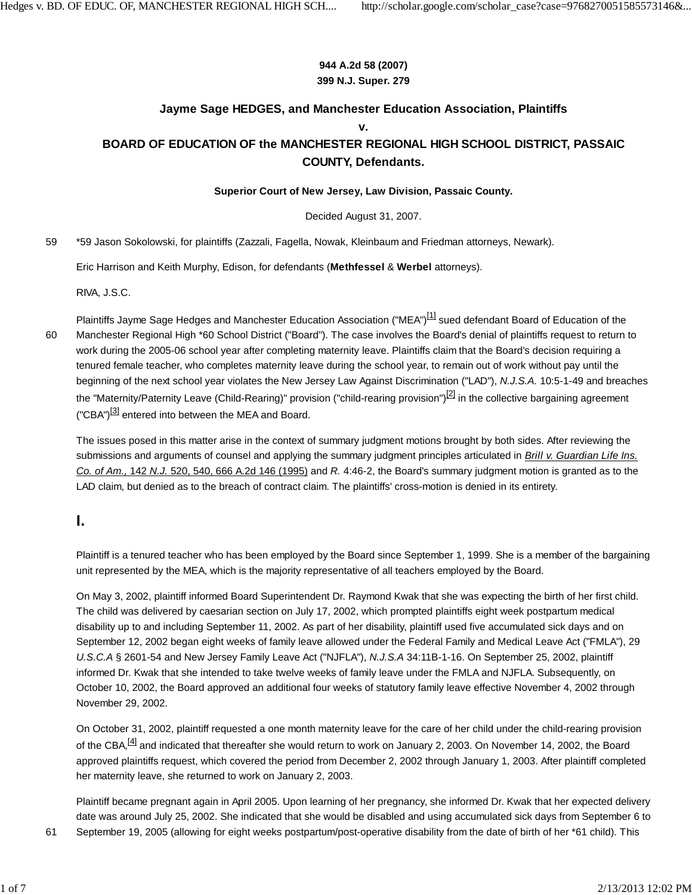### **944 A.2d 58 (2007) 399 N.J. Super. 279**

### **Jayme Sage HEDGES, and Manchester Education Association, Plaintiffs**

#### **v.**

## **BOARD OF EDUCATION OF the MANCHESTER REGIONAL HIGH SCHOOL DISTRICT, PASSAIC COUNTY, Defendants.**

### **Superior Court of New Jersey, Law Division, Passaic County.**

Decided August 31, 2007.

59 \*59 Jason Sokolowski, for plaintiffs (Zazzali, Fagella, Nowak, Kleinbaum and Friedman attorneys, Newark).

Eric Harrison and Keith Murphy, Edison, for defendants (**Methfessel** & **Werbel** attorneys).

RIVA, J.S.C.

Plaintiffs Jayme Sage Hedges and Manchester Education Association ("MEA")<sup>[1]</sup> sued defendant Board of Education of the Manchester Regional High \*60 School District ("Board"). The case involves the Board's denial of plaintiffs request to return to work during the 2005-06 school year after completing maternity leave. Plaintiffs claim that the Board's decision requiring a tenured female teacher, who completes maternity leave during the school year, to remain out of work without pay until the beginning of the next school year violates the New Jersey Law Against Discrimination ("LAD"), *N.J.S.A.* 10:5-1-49 and breaches the "Maternity/Paternity Leave (Child-Rearing)" provision ("child-rearing provision")<sup>[2]</sup> in the collective bargaining agreement ("CBA")<sup>[3]</sup> entered into between the MEA and Board. 60

The issues posed in this matter arise in the context of summary judgment motions brought by both sides. After reviewing the submissions and arguments of counsel and applying the summary judgment principles articulated in *Brill v. Guardian Life Ins. Co. of Am.,* 142 *N.J.* 520, 540, 666 A.2d 146 (1995) and *R.* 4:46-2, the Board's summary judgment motion is granted as to the LAD claim, but denied as to the breach of contract claim. The plaintiffs' cross-motion is denied in its entirety.

# **I.**

Plaintiff is a tenured teacher who has been employed by the Board since September 1, 1999. She is a member of the bargaining unit represented by the MEA, which is the majority representative of all teachers employed by the Board.

On May 3, 2002, plaintiff informed Board Superintendent Dr. Raymond Kwak that she was expecting the birth of her first child. The child was delivered by caesarian section on July 17, 2002, which prompted plaintiffs eight week postpartum medical disability up to and including September 11, 2002. As part of her disability, plaintiff used five accumulated sick days and on September 12, 2002 began eight weeks of family leave allowed under the Federal Family and Medical Leave Act ("FMLA"), 29 *U.S.C.A* § 2601-54 and New Jersey Family Leave Act ("NJFLA"), *N.J.S.A* 34:11B-1-16. On September 25, 2002, plaintiff informed Dr. Kwak that she intended to take twelve weeks of family leave under the FMLA and NJFLA. Subsequently, on October 10, 2002, the Board approved an additional four weeks of statutory family leave effective November 4, 2002 through November 29, 2002.

On October 31, 2002, plaintiff requested a one month maternity leave for the care of her child under the child-rearing provision of the CBA,<sup>[4]</sup> and indicated that thereafter she would return to work on January 2, 2003. On November 14, 2002, the Board approved plaintiffs request, which covered the period from December 2, 2002 through January 1, 2003. After plaintiff completed her maternity leave, she returned to work on January 2, 2003.

Plaintiff became pregnant again in April 2005. Upon learning of her pregnancy, she informed Dr. Kwak that her expected delivery date was around July 25, 2002. She indicated that she would be disabled and using accumulated sick days from September 6 to 61 September 19, 2005 (allowing for eight weeks postpartum/post-operative disability from the date of birth of her \*61 child). This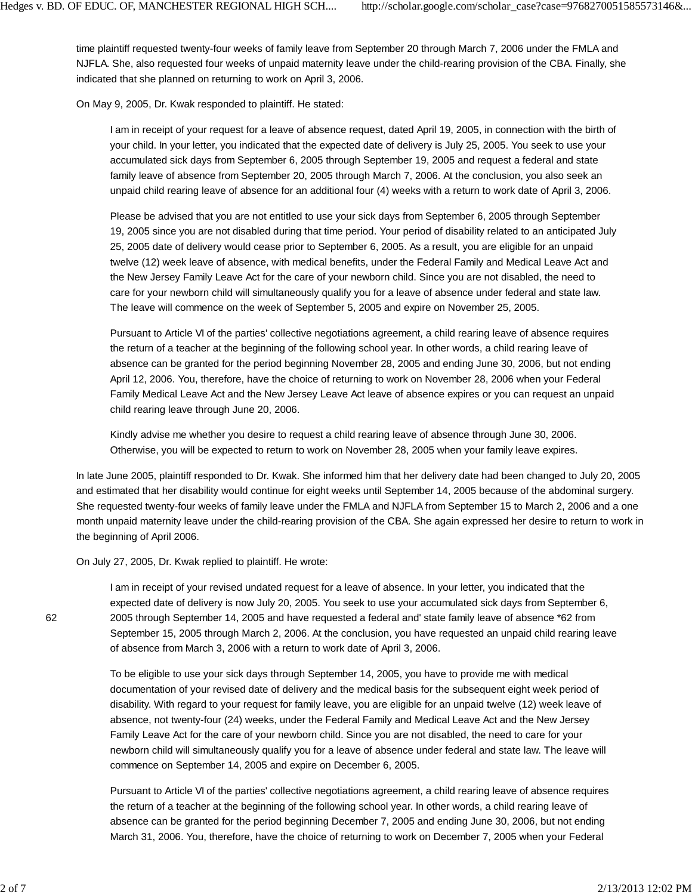time plaintiff requested twenty-four weeks of family leave from September 20 through March 7, 2006 under the FMLA and NJFLA. She, also requested four weeks of unpaid maternity leave under the child-rearing provision of the CBA. Finally, she indicated that she planned on returning to work on April 3, 2006.

On May 9, 2005, Dr. Kwak responded to plaintiff. He stated:

I am in receipt of your request for a leave of absence request, dated April 19, 2005, in connection with the birth of your child. In your letter, you indicated that the expected date of delivery is July 25, 2005. You seek to use your accumulated sick days from September 6, 2005 through September 19, 2005 and request a federal and state family leave of absence from September 20, 2005 through March 7, 2006. At the conclusion, you also seek an unpaid child rearing leave of absence for an additional four (4) weeks with a return to work date of April 3, 2006.

Please be advised that you are not entitled to use your sick days from September 6, 2005 through September 19, 2005 since you are not disabled during that time period. Your period of disability related to an anticipated July 25, 2005 date of delivery would cease prior to September 6, 2005. As a result, you are eligible for an unpaid twelve (12) week leave of absence, with medical benefits, under the Federal Family and Medical Leave Act and the New Jersey Family Leave Act for the care of your newborn child. Since you are not disabled, the need to care for your newborn child will simultaneously qualify you for a leave of absence under federal and state law. The leave will commence on the week of September 5, 2005 and expire on November 25, 2005.

Pursuant to Article VI of the parties' collective negotiations agreement, a child rearing leave of absence requires the return of a teacher at the beginning of the following school year. In other words, a child rearing leave of absence can be granted for the period beginning November 28, 2005 and ending June 30, 2006, but not ending April 12, 2006. You, therefore, have the choice of returning to work on November 28, 2006 when your Federal Family Medical Leave Act and the New Jersey Leave Act leave of absence expires or you can request an unpaid child rearing leave through June 20, 2006.

Kindly advise me whether you desire to request a child rearing leave of absence through June 30, 2006. Otherwise, you will be expected to return to work on November 28, 2005 when your family leave expires.

In late June 2005, plaintiff responded to Dr. Kwak. She informed him that her delivery date had been changed to July 20, 2005 and estimated that her disability would continue for eight weeks until September 14, 2005 because of the abdominal surgery. She requested twenty-four weeks of family leave under the FMLA and NJFLA from September 15 to March 2, 2006 and a one month unpaid maternity leave under the child-rearing provision of the CBA. She again expressed her desire to return to work in the beginning of April 2006.

On July 27, 2005, Dr. Kwak replied to plaintiff. He wrote:

I am in receipt of your revised undated request for a leave of absence. In your letter, you indicated that the expected date of delivery is now July 20, 2005. You seek to use your accumulated sick days from September 6, 2005 through September 14, 2005 and have requested a federal and' state family leave of absence \*62 from September 15, 2005 through March 2, 2006. At the conclusion, you have requested an unpaid child rearing leave of absence from March 3, 2006 with a return to work date of April 3, 2006.

To be eligible to use your sick days through September 14, 2005, you have to provide me with medical documentation of your revised date of delivery and the medical basis for the subsequent eight week period of disability. With regard to your request for family leave, you are eligible for an unpaid twelve (12) week leave of absence, not twenty-four (24) weeks, under the Federal Family and Medical Leave Act and the New Jersey Family Leave Act for the care of your newborn child. Since you are not disabled, the need to care for your newborn child will simultaneously qualify you for a leave of absence under federal and state law. The leave will commence on September 14, 2005 and expire on December 6, 2005.

Pursuant to Article VI of the parties' collective negotiations agreement, a child rearing leave of absence requires the return of a teacher at the beginning of the following school year. In other words, a child rearing leave of absence can be granted for the period beginning December 7, 2005 and ending June 30, 2006, but not ending March 31, 2006. You, therefore, have the choice of returning to work on December 7, 2005 when your Federal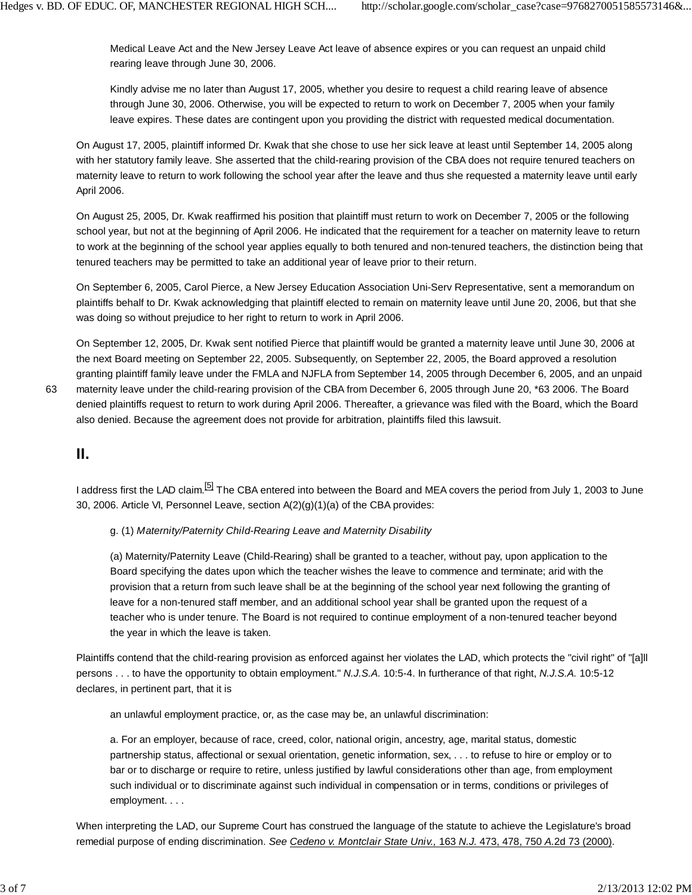Medical Leave Act and the New Jersey Leave Act leave of absence expires or you can request an unpaid child rearing leave through June 30, 2006.

Kindly advise me no later than August 17, 2005, whether you desire to request a child rearing leave of absence through June 30, 2006. Otherwise, you will be expected to return to work on December 7, 2005 when your family leave expires. These dates are contingent upon you providing the district with requested medical documentation.

On August 17, 2005, plaintiff informed Dr. Kwak that she chose to use her sick leave at least until September 14, 2005 along with her statutory family leave. She asserted that the child-rearing provision of the CBA does not require tenured teachers on maternity leave to return to work following the school year after the leave and thus she requested a maternity leave until early April 2006.

On August 25, 2005, Dr. Kwak reaffirmed his position that plaintiff must return to work on December 7, 2005 or the following school year, but not at the beginning of April 2006. He indicated that the requirement for a teacher on maternity leave to return to work at the beginning of the school year applies equally to both tenured and non-tenured teachers, the distinction being that tenured teachers may be permitted to take an additional year of leave prior to their return.

On September 6, 2005, Carol Pierce, a New Jersey Education Association Uni-Serv Representative, sent a memorandum on plaintiffs behalf to Dr. Kwak acknowledging that plaintiff elected to remain on maternity leave until June 20, 2006, but that she was doing so without prejudice to her right to return to work in April 2006.

On September 12, 2005, Dr. Kwak sent notified Pierce that plaintiff would be granted a maternity leave until June 30, 2006 at the next Board meeting on September 22, 2005. Subsequently, on September 22, 2005, the Board approved a resolution granting plaintiff family leave under the FMLA and NJFLA from September 14, 2005 through December 6, 2005, and an unpaid

maternity leave under the child-rearing provision of the CBA from December 6, 2005 through June 20, \*63 2006. The Board denied plaintiffs request to return to work during April 2006. Thereafter, a grievance was filed with the Board, which the Board also denied. Because the agreement does not provide for arbitration, plaintiffs filed this lawsuit.

### **II.**

I address first the LAD claim.<sup>[5]</sup> The CBA entered into between the Board and MEA covers the period from July 1, 2003 to June 30, 2006. Article VI, Personnel Leave, section A(2)(g)(1)(a) of the CBA provides:

g. (1) *Maternity/Paternity Child-Rearing Leave and Maternity Disability*

(a) Maternity/Paternity Leave (Child-Rearing) shall be granted to a teacher, without pay, upon application to the Board specifying the dates upon which the teacher wishes the leave to commence and terminate; arid with the provision that a return from such leave shall be at the beginning of the school year next following the granting of leave for a non-tenured staff member, and an additional school year shall be granted upon the request of a teacher who is under tenure. The Board is not required to continue employment of a non-tenured teacher beyond the year in which the leave is taken.

Plaintiffs contend that the child-rearing provision as enforced against her violates the LAD, which protects the "civil right" of "[a]ll persons . . . to have the opportunity to obtain employment." *N.J.S.A.* 10:5-4. In furtherance of that right, *N.J.S.A.* 10:5-12 declares, in pertinent part, that it is

an unlawful employment practice, or, as the case may be, an unlawful discrimination:

a. For an employer, because of race, creed, color, national origin, ancestry, age, marital status, domestic partnership status, affectional or sexual orientation, genetic information, sex, . . . to refuse to hire or employ or to bar or to discharge or require to retire, unless justified by lawful considerations other than age, from employment such individual or to discriminate against such individual in compensation or in terms, conditions or privileges of employment. . . .

When interpreting the LAD, our Supreme Court has construed the language of the statute to achieve the Legislature's broad remedial purpose of ending discrimination. *See Cedeno v. Montclair State Univ.,* 163 *N.J.* 473, 478, 750 *A.*2d 73 (2000).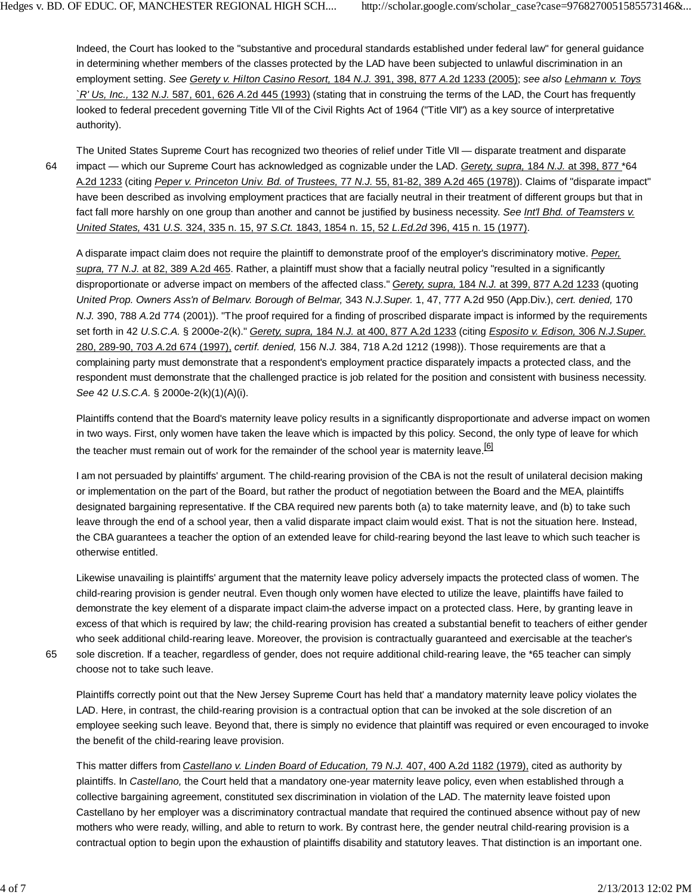Indeed, the Court has looked to the "substantive and procedural standards established under federal law" for general guidance in determining whether members of the classes protected by the LAD have been subjected to unlawful discrimination in an employment setting. *See Gerety v. Hilton Casino Resort,* 184 *N.J.* 391, 398, 877 *A.*2d 1233 (2005); *see also Lehmann v. Toys `R' Us, Inc.,* 132 *N.J.* 587, 601, 626 *A.*2d 445 (1993) (stating that in construing the terms of the LAD, the Court has frequently looked to federal precedent governing Title VII of the Civil Rights Act of 1964 ("Title VII") as a key source of interpretative authority).

64

The United States Supreme Court has recognized two theories of relief under Title VII — disparate treatment and disparate impact — which our Supreme Court has acknowledged as cognizable under the LAD. *Gerety, supra,* 184 *N.J.* at 398, 877 \*64 A.2d 1233 (citing *Peper v. Princeton Univ. Bd. of Trustees,* 77 *N.J.* 55, 81-82, 389 A.2d 465 (1978)). Claims of "disparate impact" have been described as involving employment practices that are facially neutral in their treatment of different groups but that in fact fall more harshly on one group than another and cannot be justified by business necessity. *See Int'l Bhd. of Teamsters v. United States,* 431 *U.S.* 324, 335 n. 15, 97 *S.Ct.* 1843, 1854 n. 15, 52 *L.Ed.2d* 396, 415 n. 15 (1977).

A disparate impact claim does not require the plaintiff to demonstrate proof of the employer's discriminatory motive. *Peper, supra,* 77 *N.J.* at 82, 389 A.2d 465. Rather, a plaintiff must show that a facially neutral policy "resulted in a significantly disproportionate or adverse impact on members of the affected class." *Gerety, supra,* 184 *N.J.* at 399, 877 A.2d 1233 (quoting *United Prop. Owners Ass'n of Belmarv. Borough of Belmar,* 343 *N.J.Super.* 1, 47, 777 A.2d 950 (App.Div.), *cert. denied,* 170 *N.J.* 390, 788 *A.*2d 774 (2001)). "The proof required for a finding of proscribed disparate impact is informed by the requirements set forth in 42 *U.S.C.A.* § 2000e-2(k)." *Gerety, supra,* 184 *N.J.* at 400, 877 A.2d 1233 (citing *Esposito v. Edison,* 306 *N.J.Super.* 280, 289-90, 703 *A.*2d 674 (1997), *certif. denied,* 156 *N.J.* 384, 718 A.2d 1212 (1998)). Those requirements are that a complaining party must demonstrate that a respondent's employment practice disparately impacts a protected class, and the respondent must demonstrate that the challenged practice is job related for the position and consistent with business necessity. *See* 42 *U.S.C.A.* § 2000e-2(k)(1)(A)(i).

Plaintiffs contend that the Board's maternity leave policy results in a significantly disproportionate and adverse impact on women in two ways. First, only women have taken the leave which is impacted by this policy. Second, the only type of leave for which the teacher must remain out of work for the remainder of the school year is maternity leave.<sup>[6]</sup>

I am not persuaded by plaintiffs' argument. The child-rearing provision of the CBA is not the result of unilateral decision making or implementation on the part of the Board, but rather the product of negotiation between the Board and the MEA, plaintiffs designated bargaining representative. If the CBA required new parents both (a) to take maternity leave, and (b) to take such leave through the end of a school year, then a valid disparate impact claim would exist. That is not the situation here. Instead, the CBA guarantees a teacher the option of an extended leave for child-rearing beyond the last leave to which such teacher is otherwise entitled.

Likewise unavailing is plaintiffs' argument that the maternity leave policy adversely impacts the protected class of women. The child-rearing provision is gender neutral. Even though only women have elected to utilize the leave, plaintiffs have failed to demonstrate the key element of a disparate impact claim-the adverse impact on a protected class. Here, by granting leave in excess of that which is required by law; the child-rearing provision has created a substantial benefit to teachers of either gender who seek additional child-rearing leave. Moreover, the provision is contractually guaranteed and exercisable at the teacher's sole discretion. If a teacher, regardless of gender, does not require additional child-rearing leave, the \*65 teacher can simply choose not to take such leave.

65

Plaintiffs correctly point out that the New Jersey Supreme Court has held that' a mandatory maternity leave policy violates the LAD. Here, in contrast, the child-rearing provision is a contractual option that can be invoked at the sole discretion of an employee seeking such leave. Beyond that, there is simply no evidence that plaintiff was required or even encouraged to invoke the benefit of the child-rearing leave provision.

This matter differs from *Castellano v. Linden Board of Education,* 79 *N.J.* 407, 400 A.2d 1182 (1979), cited as authority by plaintiffs. In *Castellano,* the Court held that a mandatory one-year maternity leave policy, even when established through a collective bargaining agreement, constituted sex discrimination in violation of the LAD. The maternity leave foisted upon Castellano by her employer was a discriminatory contractual mandate that required the continued absence without pay of new mothers who were ready, willing, and able to return to work. By contrast here, the gender neutral child-rearing provision is a contractual option to begin upon the exhaustion of plaintiffs disability and statutory leaves. That distinction is an important one.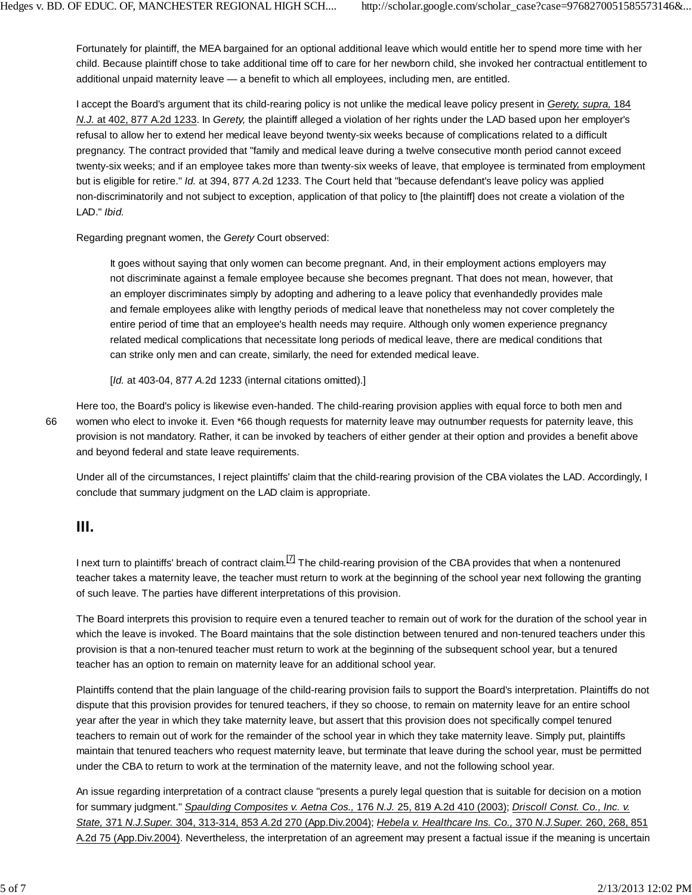Fortunately for plaintiff, the MEA bargained for an optional additional leave which would entitle her to spend more time with her child. Because plaintiff chose to take additional time off to care for her newborn child, she invoked her contractual entitlement to additional unpaid maternity leave — a benefit to which all employees, including men, are entitled.

I accept the Board's argument that its child-rearing policy is not unlike the medical leave policy present in *Gerety, supra,* 184 *N.J.* at 402, 877 A.2d 1233. In *Gerety,* the plaintiff alleged a violation of her rights under the LAD based upon her employer's refusal to allow her to extend her medical leave beyond twenty-six weeks because of complications related to a difficult pregnancy. The contract provided that "family and medical leave during a twelve consecutive month period cannot exceed twenty-six weeks; and if an employee takes more than twenty-six weeks of leave, that employee is terminated from employment but is eligible for retire." *Id.* at 394, 877 *A.*2d 1233. The Court held that "because defendant's leave policy was applied non-discriminatorily and not subject to exception, application of that policy to [the plaintiff] does not create a violation of the LAD." *Ibid.*

Regarding pregnant women, the *Gerety* Court observed:

It goes without saying that only women can become pregnant. And, in their employment actions employers may not discriminate against a female employee because she becomes pregnant. That does not mean, however, that an employer discriminates simply by adopting and adhering to a leave policy that evenhandedly provides male and female employees alike with lengthy periods of medical leave that nonetheless may not cover completely the entire period of time that an employee's health needs may require. Although only women experience pregnancy related medical complications that necessitate long periods of medical leave, there are medical conditions that can strike only men and can create, similarly, the need for extended medical leave.

[*Id.* at 403-04, 877 *A.*2d 1233 (internal citations omitted).]

Here too, the Board's policy is likewise even-handed. The child-rearing provision applies with equal force to both men and women who elect to invoke it. Even \*66 though requests for maternity leave may outnumber requests for paternity leave, this provision is not mandatory. Rather, it can be invoked by teachers of either gender at their option and provides a benefit above and beyond federal and state leave requirements.

Under all of the circumstances, I reject plaintiffs' claim that the child-rearing provision of the CBA violates the LAD. Accordingly, I conclude that summary judgment on the LAD claim is appropriate.

# **III.**

I next turn to plaintiffs' breach of contract claim.  $^{[7]}$  The child-rearing provision of the CBA provides that when a nontenured teacher takes a maternity leave, the teacher must return to work at the beginning of the school year next following the granting of such leave. The parties have different interpretations of this provision.

The Board interprets this provision to require even a tenured teacher to remain out of work for the duration of the school year in which the leave is invoked. The Board maintains that the sole distinction between tenured and non-tenured teachers under this provision is that a non-tenured teacher must return to work at the beginning of the subsequent school year, but a tenured teacher has an option to remain on maternity leave for an additional school year.

Plaintiffs contend that the plain language of the child-rearing provision fails to support the Board's interpretation. Plaintiffs do not dispute that this provision provides for tenured teachers, if they so choose, to remain on maternity leave for an entire school year after the year in which they take maternity leave, but assert that this provision does not specifically compel tenured teachers to remain out of work for the remainder of the school year in which they take maternity leave. Simply put, plaintiffs maintain that tenured teachers who request maternity leave, but terminate that leave during the school year, must be permitted under the CBA to return to work at the termination of the maternity leave, and not the following school year.

An issue regarding interpretation of a contract clause "presents a purely legal question that is suitable for decision on a motion for summary judgment." *Spaulding Composites v. Aetna Cos.,* 176 *N.J.* 25, 819 A.2d 410 (2003); *Driscoll Const. Co., Inc. v. State,* 371 *N.J.Super.* 304, 313-314, 853 *A.*2d 270 (App.Div.2004); *Hebela v. Healthcare Ins. Co.,* 370 *N.J.Super.* 260, 268, 851 A.2d 75 (App.Div.2004). Nevertheless, the interpretation of an agreement may present a factual issue if the meaning is uncertain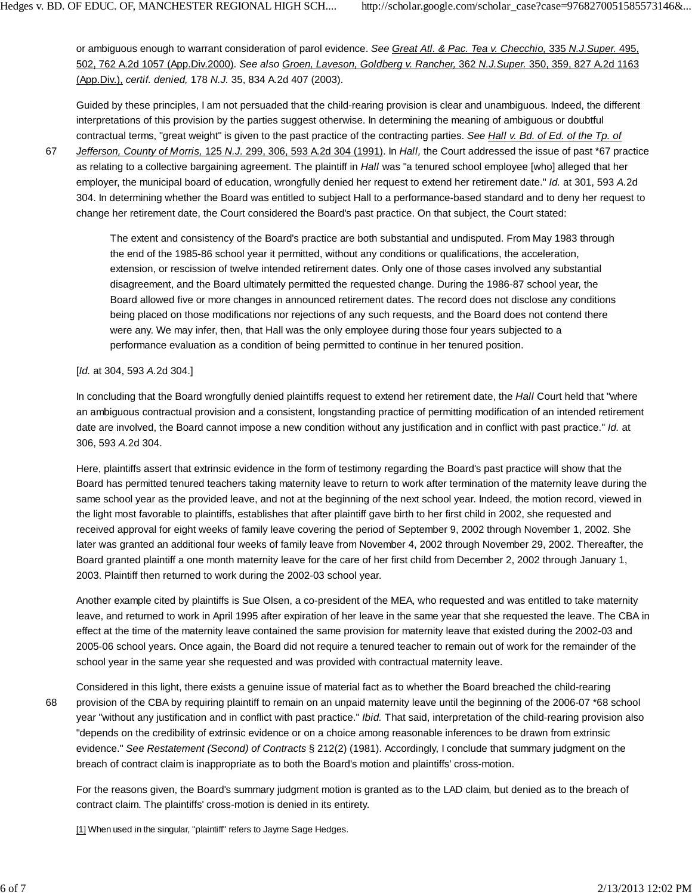or ambiguous enough to warrant consideration of parol evidence. *See Great Atl. & Pac. Tea v. Checchio,* 335 *N.J.Super.* 495, 502, 762 A.2d 1057 (App.Div.2000). *See also Groen, Laveson, Goldberg v. Rancher,* 362 *N.J.Super.* 350, 359, 827 A.2d 1163 (App.Div.), *certif. denied,* 178 *N.J.* 35, 834 A.2d 407 (2003).

Guided by these principles, I am not persuaded that the child-rearing provision is clear and unambiguous. Indeed, the different interpretations of this provision by the parties suggest otherwise. In determining the meaning of ambiguous or doubtful contractual terms, "great weight" is given to the past practice of the contracting parties. *See Hall v. Bd. of Ed. of the Tp. of*

67

*Jefferson, County of Morris,* 125 *N.J.* 299, 306, 593 A.2d 304 (1991). In *Hall,* the Court addressed the issue of past \*67 practice as relating to a collective bargaining agreement. The plaintiff in *Hall* was "a tenured school employee [who] alleged that her employer, the municipal board of education, wrongfully denied her request to extend her retirement date." *Id.* at 301, 593 *A.*2d 304. In determining whether the Board was entitled to subject Hall to a performance-based standard and to deny her request to change her retirement date, the Court considered the Board's past practice. On that subject, the Court stated:

The extent and consistency of the Board's practice are both substantial and undisputed. From May 1983 through the end of the 1985-86 school year it permitted, without any conditions or qualifications, the acceleration, extension, or rescission of twelve intended retirement dates. Only one of those cases involved any substantial disagreement, and the Board ultimately permitted the requested change. During the 1986-87 school year, the Board allowed five or more changes in announced retirement dates. The record does not disclose any conditions being placed on those modifications nor rejections of any such requests, and the Board does not contend there were any. We may infer, then, that Hall was the only employee during those four years subjected to a performance evaluation as a condition of being permitted to continue in her tenured position.

[*Id.* at 304, 593 *A.*2d 304.]

In concluding that the Board wrongfully denied plaintiffs request to extend her retirement date, the *Hall* Court held that "where an ambiguous contractual provision and a consistent, longstanding practice of permitting modification of an intended retirement date are involved, the Board cannot impose a new condition without any justification and in conflict with past practice." *Id.* at 306, 593 *A.*2d 304.

Here, plaintiffs assert that extrinsic evidence in the form of testimony regarding the Board's past practice will show that the Board has permitted tenured teachers taking maternity leave to return to work after termination of the maternity leave during the same school year as the provided leave, and not at the beginning of the next school year. Indeed, the motion record, viewed in the light most favorable to plaintiffs, establishes that after plaintiff gave birth to her first child in 2002, she requested and received approval for eight weeks of family leave covering the period of September 9, 2002 through November 1, 2002. She later was granted an additional four weeks of family leave from November 4, 2002 through November 29, 2002. Thereafter, the Board granted plaintiff a one month maternity leave for the care of her first child from December 2, 2002 through January 1, 2003. Plaintiff then returned to work during the 2002-03 school year.

Another example cited by plaintiffs is Sue Olsen, a co-president of the MEA, who requested and was entitled to take maternity leave, and returned to work in April 1995 after expiration of her leave in the same year that she requested the leave. The CBA in effect at the time of the maternity leave contained the same provision for maternity leave that existed during the 2002-03 and 2005-06 school years. Once again, the Board did not require a tenured teacher to remain out of work for the remainder of the school year in the same year she requested and was provided with contractual maternity leave.

Considered in this light, there exists a genuine issue of material fact as to whether the Board breached the child-rearing provision of the CBA by requiring plaintiff to remain on an unpaid maternity leave until the beginning of the 2006-07 \*68 school year "without any justification and in conflict with past practice." *Ibid.* That said, interpretation of the child-rearing provision also "depends on the credibility of extrinsic evidence or on a choice among reasonable inferences to be drawn from extrinsic evidence." *See Restatement (Second) of Contracts* § 212(2) (1981). Accordingly, I conclude that summary judgment on the breach of contract claim is inappropriate as to both the Board's motion and plaintiffs' cross-motion. 68

For the reasons given, the Board's summary judgment motion is granted as to the LAD claim, but denied as to the breach of contract claim. The plaintiffs' cross-motion is denied in its entirety.

[1] When used in the singular, "plaintiff" refers to Jayme Sage Hedges.